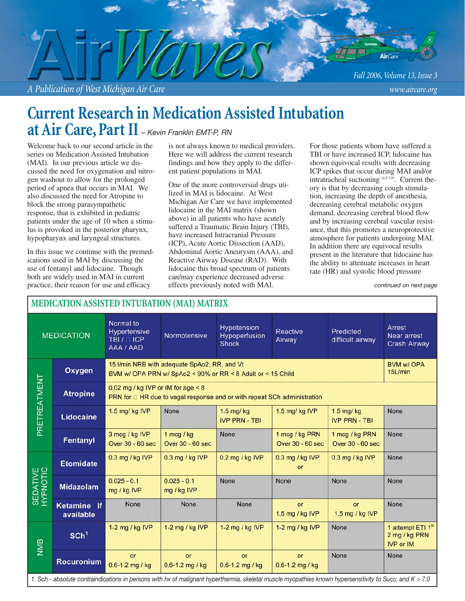*A Publication of West Michigan Air Care www.aircare.org*

## **Current Research in Medication Assisted Intubation at Air Care, Part II** *– Kevin Franklin EMT-P, RN*

Welcome back to our second article in the series on Medication Assisted Intubation (MAI). In our previous article we discussed the need for oxygenation and nitrogen washout to allow for the prolonged period of apnea that occurs in MAI. We also discussed the need for Atropine to block the strong parasympathetic response, that is exhibited in pediatric patients under the age of 10 when a stimulus is provoked in the posterior pharynx, hypopharynx and laryngeal structures.

In this issue we continue with the premedications used in MAI by discussing the use of fentanyl and lidocaine. Though both are widely used in MAI in current practice, their reason for use and efficacy

is not always known to medical providers. Here we will address the current research findings and how they apply to the different patient populations in MAI.

One of the more controversial drugs utilized in MAI is lidocaine. At West Michigan Air Care we have implemented lidocaine in the MAI matrix (shown above) in all patients who have acutely suffered a Traumatic Brain Injury (TBI), have increased Intracranial Pressure (ICP), Acute Aortic Dissection (AAD), Abdominal Aortic Aneurysm (AAA), and Reactive Airway Disease (RAD). With lidocaine this broad spectrum of patients can/may experience decreased adverse effects previously noted with MAI.

For those patients whom have suffered a TBI or have increased ICP, lidocaine has shown equivocal results with decreasing ICP spikes that occur during MAI and/or intratracheal suctioning (4,5,7,9). Current theory is that by decreasing cough stimulation, increasing the depth of anesthesia, decreasing cerebral metabolic oxygen demand, decreasing cerebral blood flow and by increasing cerebral vascular resistance, that this promotes a neuroprotective atmosphere for patients undergoing MAI. In addition there are equivocal results present in the literature that lidocaine has the ability to attenuate increases in heart rate (HR) and systolic blood pressure

*continued on next page*

| <b>MEDICATION ASSISTED INTUBATION (MAI) MATRIX</b>                                                                                                       |                          |                                                                                                                  |                                  |                                              |                                    |                                    |                                                                    |
|----------------------------------------------------------------------------------------------------------------------------------------------------------|--------------------------|------------------------------------------------------------------------------------------------------------------|----------------------------------|----------------------------------------------|------------------------------------|------------------------------------|--------------------------------------------------------------------|
| <b>MEDICATION</b>                                                                                                                                        |                          | Normal to<br>Hypertensive<br>TBI / □ ICP<br>AAA / AAD                                                            | Normotensive                     | Hypotension<br>Hypoperfusion<br><b>Shock</b> | <b>Reactive</b><br>Airway          | Predicted<br>difficult airway      | Arrest<br>Near arrest<br><b>Crash Airway</b>                       |
| PRETREATMENT                                                                                                                                             | Oxygen                   | 15 I/min NRB with adequate SpAo2, RR, and Vt<br>BVM w/ OPA PRN w/ SpAo2 < 90% or RR < 8 Adult or < 15 Child      |                                  |                                              |                                    |                                    | <b>BVM w/ OPA</b><br>15L/min                                       |
|                                                                                                                                                          | <b>Atropine</b>          | 0.02 mg / kg IVP or IM for age $< 8$<br>PRN for D HR due to vagal response and or with repeat SCh administration |                                  |                                              |                                    |                                    |                                                                    |
|                                                                                                                                                          | Lidocaine                | 1.5 mg/ kg IVP                                                                                                   | None                             | 1.5 mg/ kg<br><b>IVP PRN - TBI</b>           | 1.5 mg/ kg IVP                     | 1.5 mg/ kg<br><b>IVP PRN - TBI</b> | None                                                               |
|                                                                                                                                                          | Fentanyl                 | 3 mcg / kg IVP<br>Over 30 - 60 sec                                                                               | 1 mcg / $kg$<br>Over 30 - 60 sec | None                                         | 1 mcg / kg PRN<br>Over 30 - 60 sec | 1 mcg / kg PRN<br>Over 30 - 60 sec | None                                                               |
| SEDATIVE<br>HYPNOTIC                                                                                                                                     | <b>Etomidate</b>         | 0.3 mg / kg IVP                                                                                                  | 0.3 mg / kg IVP                  | 0.2 mg / kg IVP                              | 0.3 mg / kg IVP<br>or              | 0.3 mg / kg IVP                    | None                                                               |
|                                                                                                                                                          | <b>Midazolam</b>         | $0.025 - 0.1$<br>mg / kg IVP                                                                                     | $0.025 - 0.1$<br>mg / kg IVP     | None                                         | None                               | None                               | None                                                               |
|                                                                                                                                                          | Ketamine if<br>available | None                                                                                                             | <b>None</b>                      | <b>None</b>                                  | or<br>1.5 mg / kg IVP              | or<br>1.5 mg / kg IVP              | None                                                               |
| NMB                                                                                                                                                      | SCh <sup>1</sup>         | 1-2 mg / kg IVP                                                                                                  | 1-2 mg / kg IVP                  | 1-2 mg / $kg$ IVP                            | 1-2 mg / $kg$ IVP                  | None                               | 1 attempt ETI 1 <sup>st</sup><br>2 mg / kg PRN<br><b>IVP or IM</b> |
|                                                                                                                                                          | <b>Rocuronium</b>        | or<br>0.6-1.2 mg / kg                                                                                            | or<br>0.6-1.2 mg / kg            | or<br>0.6-1.2 mg / kg                        | or<br>0.6-1.2 mg / kg              | None                               | None                                                               |
| 1. Sch - absolute contraindications in persons with hx of malignant hyperthermia, skeletal muscle myopathies known hypersensitivity to Succ, and K > 7.0 |                          |                                                                                                                  |                                  |                                              |                                    |                                    |                                                                    |

### **MEDICATION ASSISTED INTUBATION (MAI) MATRIX**

*Fall 2006, Volume 13, Issue 3*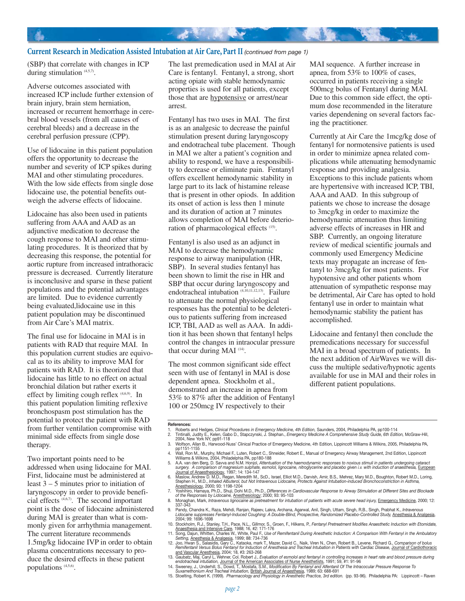#### **Current Research in Medication Assisted Intubation at Air Care, Part II** *(continued from page 1)*

(SBP) that correlate with changes in ICP during stimulation  $(4,5,7)$ .

Adverse outcomes associated with increased ICP include further extension of brain injury, brain stem herniation, increased or recurrent hemorrhage in cerebral blood vessels (from all causes of cerebral bleeds) and a decrease in the cerebral perfusion pressure (CPP).

Use of lidocaine in this patient population offers the opportunity to decrease the number and severity of ICP spikes during MAI and other stimulating procedures. With the low side effects from single dose lidocaine use, the potential benefits outweigh the adverse effects of lidocaine.

Lidocaine has also been used in patients suffering from AAA and AAD as an adjunctive medication to decrease the cough response to MAI and other stimulating procedures. It is theorized that by decreasing this response, the potential for aortic rupture from increased intrathoracic pressure is decreased. Currently literature is inconclusive and sparse in these patient populations and the potential advantages are limited. Due to evidence currently being evaluated,lidocaine use in this patient population may be discontinued from Air Care's MAI matrix.

The final use for lidocaine in MAI is in patients with RAD that require MAI. In this population current studies are equivocal as to its ability to improve MAI for patients with RAD. It is theorized that lidocaine has little to no effect on actual bronchial dilation but rather exerts it effect by limiting cough reflex (4,6,9). In this patient population limiting reflexive bronchospasm post stimulation has the potential to protect the patient with RAD from further ventilation compromise with minimal side effects from single dose therapy.

Two important points need to be addressed when using lidocaine for MAI. First, lidocaine must be administered at least 3 – 5 minutes prior to initiation of laryngoscopy in order to provide beneficial effects (4,6,7). The second important point is the dose of lidocaine administered during MAI is greater than what is commonly given for arrhythmia management. The current literature recommends 1.5mg/kg lidocaine IVP in order to obtain plasma concentrations necessary to produce the desired effects in these patient populations (4,5,6).

The last premedication used in MAI at Air Care is fentanyl. Fentanyl, a strong, short acting opiate with stable hemodynamic properties is used for all patients, except those that are hypotensive or arrest/near arrest.

**大家 医一个人 医一个人 医一个人 医一个人 医一个人 医** 

Fentanyl has two uses in MAI. The first is as an analgesic to decrease the painful stimulation present during laryngoscopy and endotracheal tube placement. Though in MAI we alter a patient's cognition and ability to respond, we have a responsibility to decrease or eliminate pain. Fentanyl offers excellent hemodynamic stability in large part to its lack of histamine release that is present in other opiods. In addition its onset of action is less then 1 minute and its duration of action at 7 minutes allows completion of MAI before deterioration of pharmacological effects (15).

Fentanyl is also used as an adjunct in MAI to decrease the hemodynamic response to airway manipulation (HR, SBP). In several studies fentanyl has been shown to limit the rise in HR and SBP that occur during laryngoscopy and endotracheal intubation (4,10,11,12,13). Failure to attenuate the normal physiological responses has the potential to be deleterious to patients suffering from increased ICP, TBI, AAD as well as AAA. In addition it has been shown that fentanyl helps control the changes in intraocular pressure that occur during MAI<sup>(14)</sup>.

The most common significant side effect seen with use of fentanyl in MAI is dose dependent apnea. Stockholm et al., demonstrated an increase in apnea from 53% to 87% after the addition of Fentanyl 100 or 250mcg IV respectively to their

MAI sequence. A further increase in apnea, from 53% to 100% of cases, occurred in patients receiving a single 500mcg bolus of Fentanyl during MAI. Due to this common side effect, the optimum dose recommended in the literature varies dependening on several factors facing the practitioner.

Currently at Air Care the 1mcg/kg dose of fentanyl for normotensive patients is used in order to minimize apnea related complications while attenuating hemodynamic response and providing analgesia. Exceptions to this include patients whom are hypertensive with increased ICP, TBI, AAA and AAD. In this subgroup of patients we chose to increase the dosage to 3mcg/kg in order to maximize the hemodynamic attenuation thus limiting adverse effects of increases in HR and SBP. Currently, an ongoing literature review of medical scientific journals and commonly used Emergency Medicine texts may propagate an increase of fentanyl to 3mcg/kg for most patients. For hypotensive and other patients whom attenuation of sympathetic response may be detrimental, Air Care has opted to hold fentanyl use in order to maintain what hemodynamic stability the patient has accomplished.

Lidocaine and fentanyl then conclude the premedications necessary for successful MAI in a broad spectrum of patients. In the next addition of AirWaves we will discuss the multiple sedative/hypnotic agents available for use in MAI and their roles in different patient populations.

#### **References:**

- 1. Roberts and Hedges, *Clinical Procedures in Emergency Medicine, 4th Edition,* Saunders, 2004, Philadelphia PA, pp100-114<br>2. Tintinalli, Judity E., Kelen, Gabo D., Stapczynski, J. Stephan., *Emergency Medicine A Comprehe*
- 3. Wolfson, Allan B., Harwood-Nuss' Clinical Practice of Emergency Medicine, 4th Edition, Lippincott Williams & Wilkins, 2005, Philadelphia PA, pp1151-1155
- 4. Wall, Ron M., Murphy, Michael F., Luten, Robert C., Shneider, Robert E., Manual of Emergency Airway Management, 2nd Edition, Lippincott
- Williams & Wilkins, 2004, Philadelphia PA, pp180-188 5. A.A. van den Berg, D. Savva and N.M. Honjol, *Attentuation of the haemodynamic responses to noxious stimuli in patients undergoing cataract*

- Anesthesiology, 2000; 93: 1198-1204<br>7. Yoshihiro, Hamaya, Ph.D., Shuji, Dohi M.D., Ph.D., *Differences in Cardiovascular Response to Airway Stimulation at Different Sites and Blockade*<br>67 of the Responses by Lidocaine, <u>An</u>
- 
- 9. Pandy, Chandra K., Raza, Mehdi, Ranjan, Rajeev, Lakra, Archana, Agarwal, Anil, Singh, Uttam, Singh, R.B., Singh, Prabhat K., *Intravenous*<br>Lidocaine suppresses Fentanyl-Induced Coughing: A Double-Blind, Prospective, Ran
- 
- 
- 10. Stockholm, R.J., Stanley, T.H., Pace, N.L., Gillmor, S., Groen, F., Hilkens, P., Fentanyl Pretreatment Modifies Anaesthetic Induction with Etomidate,<br>21. Song, Dajun, Whitten, Charles W., White, Paul F., Use of Remifen
- e*ndotracheal intubation, J*o<u>urnal of the American Associates of Nurse Anesthetists</u>, 1991; 59, #1: 91-96<br>14. Sweeney, J., Underhil, S., Dowd, T., Mostafa, S.M., *Modification By Fentanyl and Alfentanil Of The Intracocula*
- -

surgery. A comparison of magnesium sulphate, esmolol, lignocaine, nitroglycerine and placebo given i.v. with induction of anaesthesia, <u>European</u><br>Journal of Anaesthesiology, 1997; 14: 134-147<br>6. Maslow, Andrew D. M.D., Reg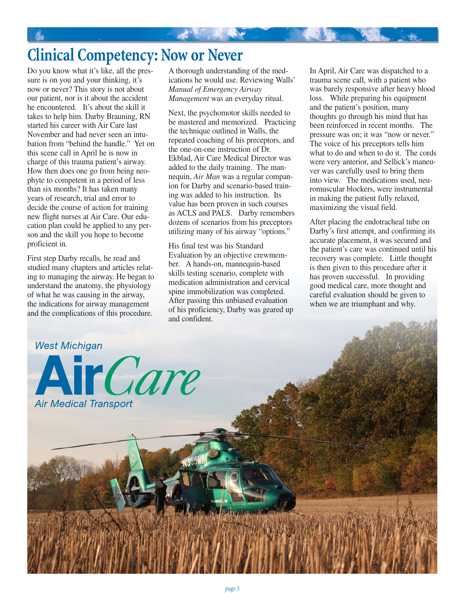# **Clinical Competency: Now or Never**

Do you know what it's like, all the pressure is on you and your thinking, it's now or never? This story is not about our patient, nor is it about the accident he encountered. It's about the skill it takes to help him. Darby Brauning, RN started his career with Air Care last November and had never seen an intubation from "behind the handle." Yet on this scene call in April he is now in charge of this trauma patient's airway. How then does one go from being neophyte to competent in a period of less than six months? It has taken many years of research, trial and error to decide the course of action for training new flight nurses at Air Care. Our education plan could be applied to any person and the skill you hope to become proficient in.

First step Darby recalls, he read and studied many chapters and articles relating to managing the airway. He began to understand the anatomy, the physiology of what he was causing in the airway, the indications for airway management and the complications of this procedure.

A thorough understanding of the medications he would use. Reviewing Walls' *Manual of Emergency Airway Management* was an everyday ritual.

"我们","你"一个人

Next, the psychomotor skills needed to be mastered and memorized. Practicing the technique outlined in Walls, the repeated coaching of his preceptors, and the one-on-one instruction of Dr. Ekblad, Air Care Medical Director was added to the daily training. The mannequin, *Air Man* was a regular companion for Darby and scenario-based training was added to his instruction. Its value has been proven in such courses as ACLS and PALS. Darby remembers dozens of scenarios from his preceptors utilizing many of his airway "options."

His final test was his Standard Evaluation by an objective crewmember. A hands-on, mannequin-based skills testing scenario, complete with medication administration and cervical spine immobilization was completed. After passing this unbiased evaluation of his proficiency, Darby was geared up and confident.

In April, Air Care was dispatched to a trauma scene call, with a patient who was barely responsive after heavy blood loss. While preparing his equipment and the patient's position, many thoughts go through his mind that has been reinforced in recent months. The pressure was on; it was "now or never." The voice of his preceptors tells him what to do and when to do it. The cords were very anterior, and Sellick's maneuver was carefully used to bring them into view. The medications used, neuromuscular blockers, were instrumental in making the patient fully relaxed, maximizing the visual field.

After placing the endotracheal tube on Darby's first attempt, and confirming its accurate placement, it was secured and the patient's care was continued until his recovery was complete. Little thought is then given to this procedure after it has proven successful. In providing good medical care, more thought and careful evaluation should be given to when we are triumphant and why.